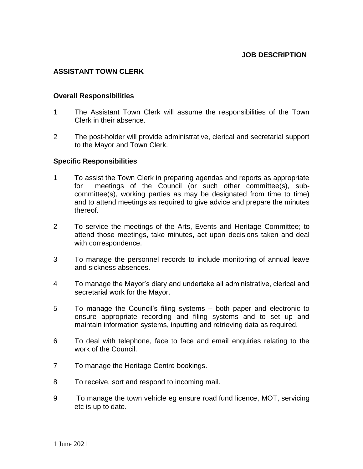## **ASSISTANT TOWN CLERK**

## **Overall Responsibilities**

- 1 The Assistant Town Clerk will assume the responsibilities of the Town Clerk in their absence.
- 2 The post-holder will provide administrative, clerical and secretarial support to the Mayor and Town Clerk.

## **Specific Responsibilities**

- 1 To assist the Town Clerk in preparing agendas and reports as appropriate for meetings of the Council (or such other committee(s), subcommittee(s), working parties as may be designated from time to time) and to attend meetings as required to give advice and prepare the minutes thereof.
- 2 To service the meetings of the Arts, Events and Heritage Committee; to attend those meetings, take minutes, act upon decisions taken and deal with correspondence.
- 3 To manage the personnel records to include monitoring of annual leave and sickness absences.
- 4 To manage the Mayor's diary and undertake all administrative, clerical and secretarial work for the Mayor.
- 5 To manage the Council's filing systems both paper and electronic to ensure appropriate recording and filing systems and to set up and maintain information systems, inputting and retrieving data as required.
- 6 To deal with telephone, face to face and email enquiries relating to the work of the Council.
- 7 To manage the Heritage Centre bookings.
- 8 To receive, sort and respond to incoming mail.
- 9 To manage the town vehicle eg ensure road fund licence, MOT, servicing etc is up to date.